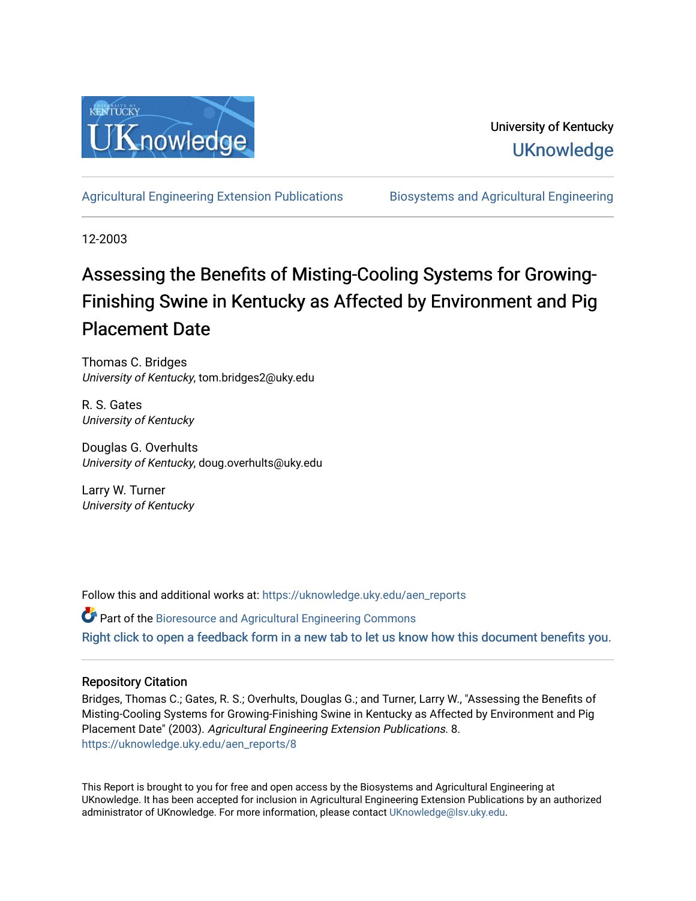

# University of Kentucky **UKnowledge**

[Agricultural Engineering Extension Publications](https://uknowledge.uky.edu/aen_reports) [Biosystems and Agricultural Engineering](https://uknowledge.uky.edu/bae) 

12-2003

# Assessing the Benefits of Misting-Cooling Systems for Growing-Finishing Swine in Kentucky as Affected by Environment and Pig Placement Date

Thomas C. Bridges University of Kentucky, tom.bridges2@uky.edu

R. S. Gates University of Kentucky

Douglas G. Overhults University of Kentucky, doug.overhults@uky.edu

Larry W. Turner University of Kentucky

Follow this and additional works at: [https://uknowledge.uky.edu/aen\\_reports](https://uknowledge.uky.edu/aen_reports?utm_source=uknowledge.uky.edu%2Faen_reports%2F8&utm_medium=PDF&utm_campaign=PDFCoverPages)

Part of the [Bioresource and Agricultural Engineering Commons](http://network.bepress.com/hgg/discipline/1056?utm_source=uknowledge.uky.edu%2Faen_reports%2F8&utm_medium=PDF&utm_campaign=PDFCoverPages) [Right click to open a feedback form in a new tab to let us know how this document benefits you.](https://uky.az1.qualtrics.com/jfe/form/SV_9mq8fx2GnONRfz7)

#### Repository Citation

Bridges, Thomas C.; Gates, R. S.; Overhults, Douglas G.; and Turner, Larry W., "Assessing the Benefits of Misting-Cooling Systems for Growing-Finishing Swine in Kentucky as Affected by Environment and Pig Placement Date" (2003). Agricultural Engineering Extension Publications. 8. [https://uknowledge.uky.edu/aen\\_reports/8](https://uknowledge.uky.edu/aen_reports/8?utm_source=uknowledge.uky.edu%2Faen_reports%2F8&utm_medium=PDF&utm_campaign=PDFCoverPages)

This Report is brought to you for free and open access by the Biosystems and Agricultural Engineering at UKnowledge. It has been accepted for inclusion in Agricultural Engineering Extension Publications by an authorized administrator of UKnowledge. For more information, please contact [UKnowledge@lsv.uky.edu](mailto:UKnowledge@lsv.uky.edu).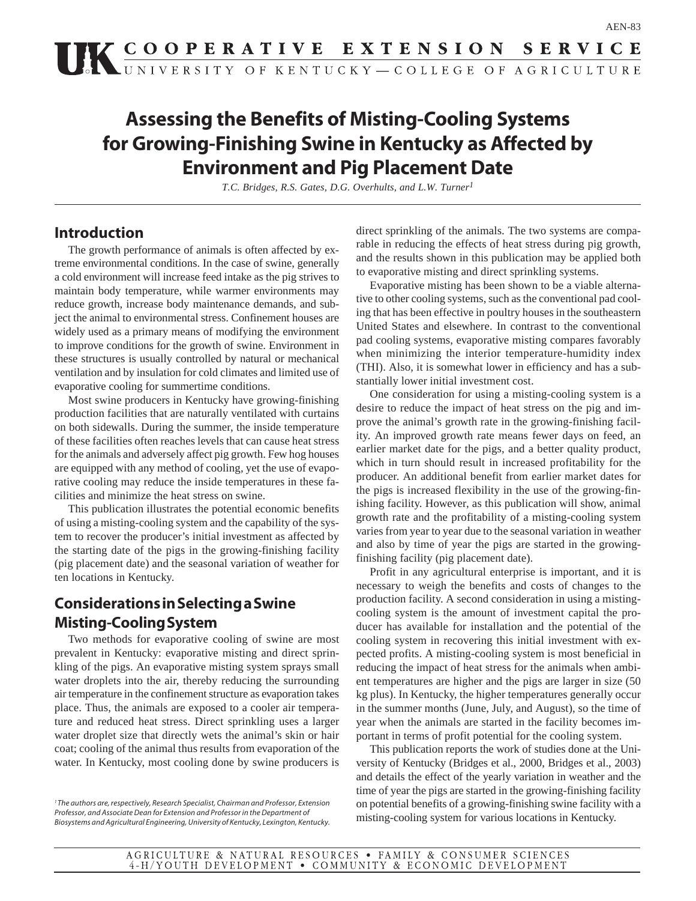# **Assessing the Benefits of Misting-Cooling Systems for Growing-Finishing Swine in Kentucky as Affected by Environment and Pig Placement Date**

*T.C. Bridges, R.S. Gates, D.G. Overhults, and L.W. Turner1*

### **Introduction**

The growth performance of animals is often affected by extreme environmental conditions. In the case of swine, generally a cold environment will increase feed intake as the pig strives to maintain body temperature, while warmer environments may reduce growth, increase body maintenance demands, and subject the animal to environmental stress. Confinement houses are widely used as a primary means of modifying the environment to improve conditions for the growth of swine. Environment in these structures is usually controlled by natural or mechanical ventilation and by insulation for cold climates and limited use of evaporative cooling for summertime conditions.

Most swine producers in Kentucky have growing-finishing production facilities that are naturally ventilated with curtains on both sidewalls. During the summer, the inside temperature of these facilities often reaches levels that can cause heat stress for the animals and adversely affect pig growth. Few hog houses are equipped with any method of cooling, yet the use of evaporative cooling may reduce the inside temperatures in these facilities and minimize the heat stress on swine.

This publication illustrates the potential economic benefits of using a misting-cooling system and the capability of the system to recover the producer's initial investment as affected by the starting date of the pigs in the growing-finishing facility (pig placement date) and the seasonal variation of weather for ten locations in Kentucky.

## **Considerations in Selecting a Swine Misting-Cooling System**

Two methods for evaporative cooling of swine are most prevalent in Kentucky: evaporative misting and direct sprinkling of the pigs. An evaporative misting system sprays small water droplets into the air, thereby reducing the surrounding air temperature in the confinement structure as evaporation takes place. Thus, the animals are exposed to a cooler air temperature and reduced heat stress. Direct sprinkling uses a larger water droplet size that directly wets the animal's skin or hair coat; cooling of the animal thus results from evaporation of the water. In Kentucky, most cooling done by swine producers is

direct sprinkling of the animals. The two systems are comparable in reducing the effects of heat stress during pig growth, and the results shown in this publication may be applied both to evaporative misting and direct sprinkling systems.

Evaporative misting has been shown to be a viable alternative to other cooling systems, such as the conventional pad cooling that has been effective in poultry houses in the southeastern United States and elsewhere. In contrast to the conventional pad cooling systems, evaporative misting compares favorably when minimizing the interior temperature-humidity index (THI). Also, it is somewhat lower in efficiency and has a substantially lower initial investment cost.

One consideration for using a misting-cooling system is a desire to reduce the impact of heat stress on the pig and improve the animal's growth rate in the growing-finishing facility. An improved growth rate means fewer days on feed, an earlier market date for the pigs, and a better quality product, which in turn should result in increased profitability for the producer. An additional benefit from earlier market dates for the pigs is increased flexibility in the use of the growing-finishing facility. However, as this publication will show, animal growth rate and the profitability of a misting-cooling system varies from year to year due to the seasonal variation in weather and also by time of year the pigs are started in the growingfinishing facility (pig placement date).

Profit in any agricultural enterprise is important, and it is necessary to weigh the benefits and costs of changes to the production facility. A second consideration in using a mistingcooling system is the amount of investment capital the producer has available for installation and the potential of the cooling system in recovering this initial investment with expected profits. A misting-cooling system is most beneficial in reducing the impact of heat stress for the animals when ambient temperatures are higher and the pigs are larger in size (50 kg plus). In Kentucky, the higher temperatures generally occur in the summer months (June, July, and August), so the time of year when the animals are started in the facility becomes important in terms of profit potential for the cooling system.

This publication reports the work of studies done at the University of Kentucky (Bridges et al., 2000, Bridges et al., 2003) and details the effect of the yearly variation in weather and the time of year the pigs are started in the growing-finishing facility on potential benefits of a growing-finishing swine facility with a misting-cooling system for various locations in Kentucky.

<sup>&</sup>lt;sup>1</sup> The authors are, respectively, Research Specialist, Chairman and Professor, Extension Professor, and Associate Dean for Extension and Professor in the Department of Biosystems and Agricultural Engineering, University of Kentucky, Lexington, Kentucky.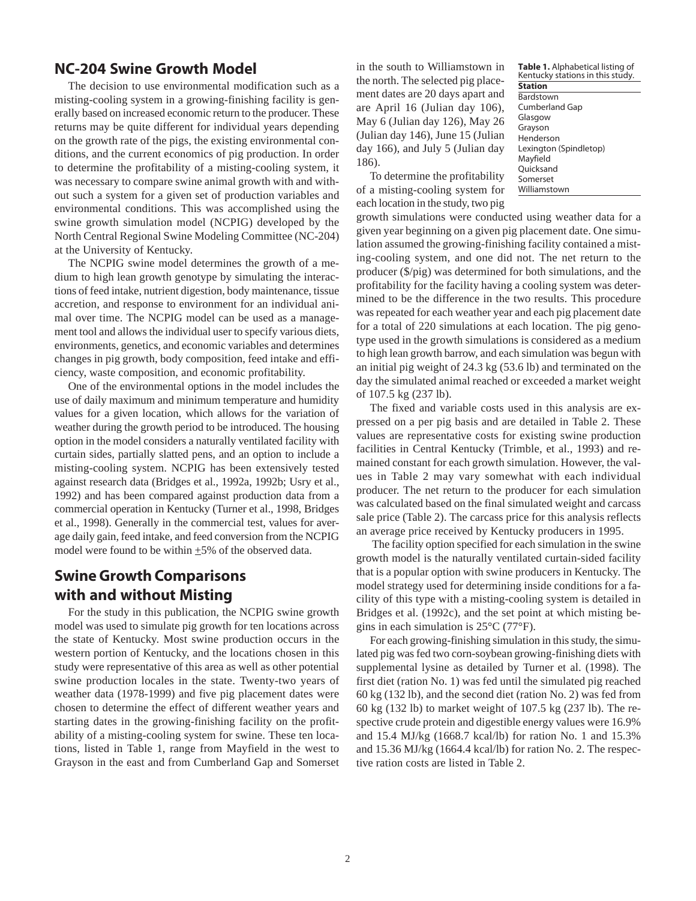### **NC-204 Swine Growth Model**

The decision to use environmental modification such as a misting-cooling system in a growing-finishing facility is generally based on increased economic return to the producer. These returns may be quite different for individual years depending on the growth rate of the pigs, the existing environmental conditions, and the current economics of pig production. In order to determine the profitability of a misting-cooling system, it was necessary to compare swine animal growth with and without such a system for a given set of production variables and environmental conditions. This was accomplished using the swine growth simulation model (NCPIG) developed by the North Central Regional Swine Modeling Committee (NC-204) at the University of Kentucky.

The NCPIG swine model determines the growth of a medium to high lean growth genotype by simulating the interactions of feed intake, nutrient digestion, body maintenance, tissue accretion, and response to environment for an individual animal over time. The NCPIG model can be used as a management tool and allows the individual user to specify various diets, environments, genetics, and economic variables and determines changes in pig growth, body composition, feed intake and efficiency, waste composition, and economic profitability.

One of the environmental options in the model includes the use of daily maximum and minimum temperature and humidity values for a given location, which allows for the variation of weather during the growth period to be introduced. The housing option in the model considers a naturally ventilated facility with curtain sides, partially slatted pens, and an option to include a misting-cooling system. NCPIG has been extensively tested against research data (Bridges et al., 1992a, 1992b; Usry et al., 1992) and has been compared against production data from a commercial operation in Kentucky (Turner et al., 1998, Bridges et al., 1998). Generally in the commercial test, values for average daily gain, feed intake, and feed conversion from the NCPIG model were found to be within  $\pm 5\%$  of the observed data.

## **Swine Growth Comparisons with and without Misting**

For the study in this publication, the NCPIG swine growth model was used to simulate pig growth for ten locations across the state of Kentucky. Most swine production occurs in the western portion of Kentucky, and the locations chosen in this study were representative of this area as well as other potential swine production locales in the state. Twenty-two years of weather data (1978-1999) and five pig placement dates were chosen to determine the effect of different weather years and starting dates in the growing-finishing facility on the profitability of a misting-cooling system for swine. These ten locations, listed in Table 1, range from Mayfield in the west to Grayson in the east and from Cumberland Gap and Somerset in the south to Williamstown in the north. The selected pig placement dates are 20 days apart and are April 16 (Julian day 106), May 6 (Julian day 126), May 26 (Julian day 146), June 15 (Julian day 166), and July 5 (Julian day 186).

To determine the profitability of a misting-cooling system for each location in the study, two pig

**Table 1.** Alphabetical listing of Kentucky stations in this study. **Station** Bardstown Cumberland Gap Glasgow Grayson Henderson Lexington (Spindletop) Mayfield **Ouicksand** Somerset Williamstown

growth simulations were conducted using weather data for a given year beginning on a given pig placement date. One simulation assumed the growing-finishing facility contained a misting-cooling system, and one did not. The net return to the producer (\$/pig) was determined for both simulations, and the profitability for the facility having a cooling system was determined to be the difference in the two results. This procedure was repeated for each weather year and each pig placement date for a total of 220 simulations at each location. The pig genotype used in the growth simulations is considered as a medium to high lean growth barrow, and each simulation was begun with an initial pig weight of 24.3 kg (53.6 lb) and terminated on the day the simulated animal reached or exceeded a market weight of 107.5 kg (237 lb).

The fixed and variable costs used in this analysis are expressed on a per pig basis and are detailed in Table 2. These values are representative costs for existing swine production facilities in Central Kentucky (Trimble, et al., 1993) and remained constant for each growth simulation. However, the values in Table 2 may vary somewhat with each individual producer. The net return to the producer for each simulation was calculated based on the final simulated weight and carcass sale price (Table 2). The carcass price for this analysis reflects an average price received by Kentucky producers in 1995.

 The facility option specified for each simulation in the swine growth model is the naturally ventilated curtain-sided facility that is a popular option with swine producers in Kentucky. The model strategy used for determining inside conditions for a facility of this type with a misting-cooling system is detailed in Bridges et al. (1992c), and the set point at which misting begins in each simulation is 25°C (77°F).

For each growing-finishing simulation in this study, the simulated pig was fed two corn-soybean growing-finishing diets with supplemental lysine as detailed by Turner et al. (1998). The first diet (ration No. 1) was fed until the simulated pig reached 60 kg (132 lb), and the second diet (ration No. 2) was fed from 60 kg (132 lb) to market weight of 107.5 kg (237 lb). The respective crude protein and digestible energy values were 16.9% and 15.4 MJ/kg (1668.7 kcal/lb) for ration No. 1 and 15.3% and 15.36 MJ/kg (1664.4 kcal/lb) for ration No. 2. The respective ration costs are listed in Table 2.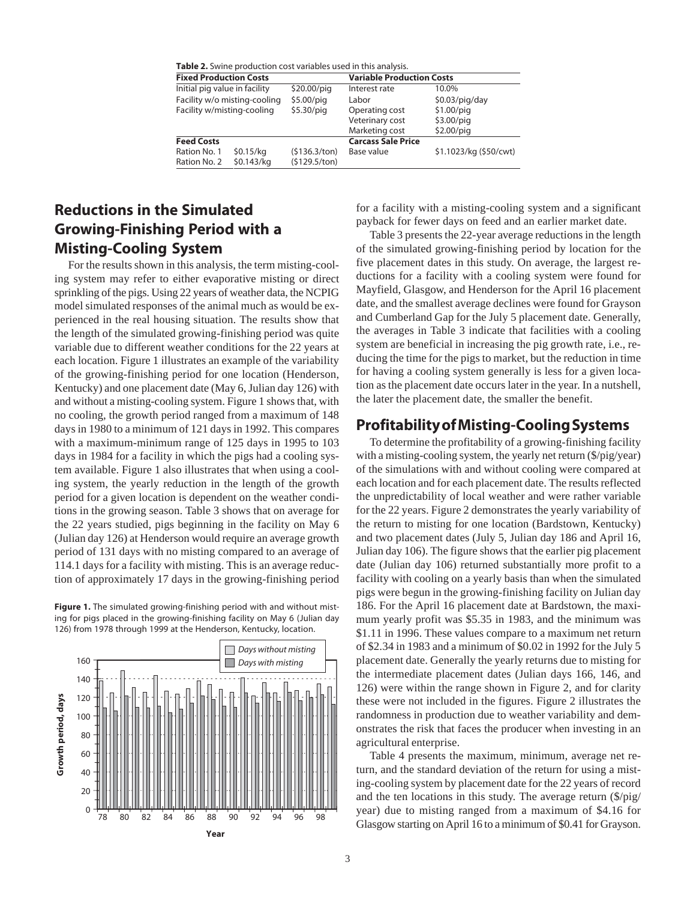|  |  |  | <b>Table 2.</b> Swine production cost variables used in this analysis. |  |  |
|--|--|--|------------------------------------------------------------------------|--|--|
|--|--|--|------------------------------------------------------------------------|--|--|

| <b>Fixed Production Costs</b> |                              |               | <b>Variable Production Costs</b> |                        |  |  |
|-------------------------------|------------------------------|---------------|----------------------------------|------------------------|--|--|
| Initial pig value in facility |                              | $$20.00$ /piq | Interest rate                    | 10.0%                  |  |  |
|                               | Facility w/o misting-cooling | \$5.00/piq    | Labor                            | \$0.03/piq/day         |  |  |
| Facility w/misting-cooling    |                              | \$5.30/piq    | Operating cost                   | $$1.00$ /piq           |  |  |
|                               |                              |               | Veterinary cost                  | $$3.00$ /piq           |  |  |
|                               |                              |               | Marketing cost                   | $$2.00$ /piq           |  |  |
| <b>Feed Costs</b>             |                              |               | <b>Carcass Sale Price</b>        |                        |  |  |
| Ration No. 1                  | \$0.15/kg                    | (5136.3/ton)  | Base value                       | \$1.1023/kg (\$50/cwt) |  |  |
| Ration No. 2                  | \$0.143/kg                   | (5129.5/ton)  |                                  |                        |  |  |
|                               |                              |               |                                  |                        |  |  |

## **Reductions in the Simulated Growing-Finishing Period with a Misting-Cooling System**

For the results shown in this analysis, the term misting-cooling system may refer to either evaporative misting or direct sprinkling of the pigs. Using 22 years of weather data, the NCPIG model simulated responses of the animal much as would be experienced in the real housing situation. The results show that the length of the simulated growing-finishing period was quite variable due to different weather conditions for the 22 years at each location. Figure 1 illustrates an example of the variability of the growing-finishing period for one location (Henderson, Kentucky) and one placement date (May 6, Julian day 126) with and without a misting-cooling system. Figure 1 shows that, with no cooling, the growth period ranged from a maximum of 148 days in 1980 to a minimum of 121 days in 1992. This compares with a maximum-minimum range of 125 days in 1995 to 103 days in 1984 for a facility in which the pigs had a cooling system available. Figure 1 also illustrates that when using a cooling system, the yearly reduction in the length of the growth period for a given location is dependent on the weather conditions in the growing season. Table 3 shows that on average for the 22 years studied, pigs beginning in the facility on May 6 (Julian day 126) at Henderson would require an average growth period of 131 days with no misting compared to an average of 114.1 days for a facility with misting. This is an average reduction of approximately 17 days in the growing-finishing period

**Figure 1.** The simulated growing-finishing period with and without misting for pigs placed in the growing-finishing facility on May 6 (Julian day 126) from 1978 through 1999 at the Henderson, Kentucky, location.



for a facility with a misting-cooling system and a significant payback for fewer days on feed and an earlier market date.

Table 3 presents the 22-year average reductions in the length of the simulated growing-finishing period by location for the five placement dates in this study. On average, the largest reductions for a facility with a cooling system were found for Mayfield, Glasgow, and Henderson for the April 16 placement date, and the smallest average declines were found for Grayson and Cumberland Gap for the July 5 placement date. Generally, the averages in Table 3 indicate that facilities with a cooling system are beneficial in increasing the pig growth rate, i.e., reducing the time for the pigs to market, but the reduction in time for having a cooling system generally is less for a given location as the placement date occurs later in the year. In a nutshell, the later the placement date, the smaller the benefit.

#### **Profitability of Misting-Cooling Systems**

To determine the profitability of a growing-finishing facility with a misting-cooling system, the yearly net return (\$/pig/year) of the simulations with and without cooling were compared at each location and for each placement date. The results reflected the unpredictability of local weather and were rather variable for the 22 years. Figure 2 demonstrates the yearly variability of the return to misting for one location (Bardstown, Kentucky) and two placement dates (July 5, Julian day 186 and April 16, Julian day 106). The figure shows that the earlier pig placement date (Julian day 106) returned substantially more profit to a facility with cooling on a yearly basis than when the simulated pigs were begun in the growing-finishing facility on Julian day 186. For the April 16 placement date at Bardstown, the maximum yearly profit was \$5.35 in 1983, and the minimum was \$1.11 in 1996. These values compare to a maximum net return of \$2.34 in 1983 and a minimum of \$0.02 in 1992 for the July 5 placement date. Generally the yearly returns due to misting for the intermediate placement dates (Julian days 166, 146, and 126) were within the range shown in Figure 2, and for clarity these were not included in the figures. Figure 2 illustrates the randomness in production due to weather variability and demonstrates the risk that faces the producer when investing in an agricultural enterprise.

Table 4 presents the maximum, minimum, average net return, and the standard deviation of the return for using a misting-cooling system by placement date for the 22 years of record and the ten locations in this study. The average return (\$/pig/ year) due to misting ranged from a maximum of \$4.16 for Glasgow starting on April 16 to a minimum of \$0.41 for Grayson.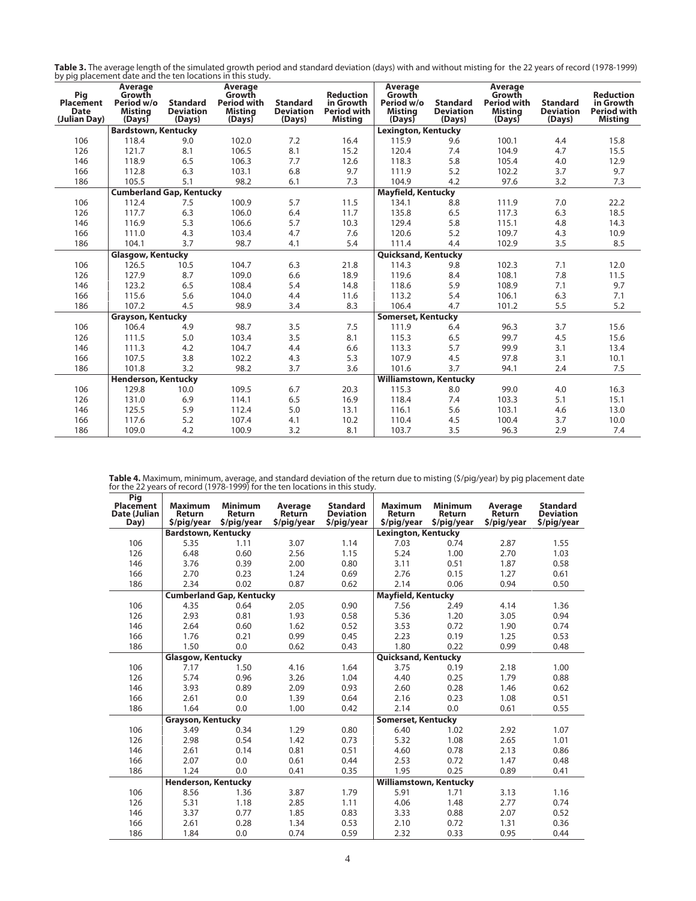|                                                            | Table 3. The average length of the simulated growth period and standard deviation (days) with and without misting for the 22 years of record (1978-1999) |
|------------------------------------------------------------|----------------------------------------------------------------------------------------------------------------------------------------------------------|
| by pig placement date and the ten locations in this study. |                                                                                                                                                          |

| , , , ,<br>Pig<br><b>Placement</b><br><b>Date</b><br>(Julian Day) | Average<br>Growth<br>Period w/o<br><b>Misting</b><br>(Days) | <b>Standard</b><br><b>Deviation</b><br>(Days) | Average<br>Growth<br><b>Period with</b><br><b>Misting</b><br>(Days) | <b>Standard</b><br><b>Deviation</b><br>(Days) | <b>Reduction</b><br>in Growth<br><b>Period with</b><br><b>Misting</b> | Average<br>Growth<br>Period w/o<br><b>Misting</b><br>(Days) | <b>Standard</b><br><b>Deviation</b><br>(Days) | Average<br>Growth<br><b>Period with</b><br><b>Misting</b><br>(Days) | <b>Standard</b><br><b>Deviation</b><br>(Days) | <b>Reduction</b><br>in Growth<br><b>Period with</b><br><b>Misting</b> |
|-------------------------------------------------------------------|-------------------------------------------------------------|-----------------------------------------------|---------------------------------------------------------------------|-----------------------------------------------|-----------------------------------------------------------------------|-------------------------------------------------------------|-----------------------------------------------|---------------------------------------------------------------------|-----------------------------------------------|-----------------------------------------------------------------------|
|                                                                   | <b>Bardstown, Kentucky</b>                                  |                                               |                                                                     |                                               |                                                                       | <b>Lexington, Kentucky</b>                                  |                                               |                                                                     |                                               |                                                                       |
| 106                                                               | 118.4                                                       | 9.0                                           | 102.0                                                               | 7.2                                           | 16.4                                                                  | 115.9                                                       | 9.6                                           | 100.1                                                               | 4.4                                           | 15.8                                                                  |
| 126                                                               | 121.7                                                       | 8.1                                           | 106.5                                                               | 8.1                                           | 15.2                                                                  | 120.4                                                       | 7.4                                           | 104.9                                                               | 4.7                                           | 15.5                                                                  |
| 146                                                               | 118.9                                                       | 6.5                                           | 106.3                                                               | 7.7                                           | 12.6                                                                  | 118.3                                                       | 5.8                                           | 105.4                                                               | 4.0                                           | 12.9                                                                  |
| 166                                                               | 112.8                                                       | 6.3                                           | 103.1                                                               | 6.8                                           | 9.7                                                                   | 111.9                                                       | 5.2                                           | 102.2                                                               | 3.7                                           | 9.7                                                                   |
| 186                                                               | 105.5                                                       | 5.1                                           | 98.2                                                                | 6.1                                           | 7.3                                                                   | 104.9                                                       | 4.2                                           | 97.6                                                                | 3.2                                           | 7.3                                                                   |
|                                                                   | <b>Cumberland Gap, Kentucky</b>                             |                                               |                                                                     |                                               |                                                                       | <b>Mayfield, Kentucky</b>                                   |                                               |                                                                     |                                               |                                                                       |
| 106                                                               | 112.4                                                       | 7.5                                           | 100.9                                                               | 5.7                                           | 11.5                                                                  | 134.1                                                       | 8.8                                           | 111.9                                                               | 7.0                                           | 22.2                                                                  |
| 126                                                               | 117.7                                                       | 6.3                                           | 106.0                                                               | 6.4                                           | 11.7                                                                  | 135.8                                                       | 6.5                                           | 117.3                                                               | 6.3                                           | 18.5                                                                  |
| 146                                                               | 116.9                                                       | 5.3                                           | 106.6                                                               | 5.7                                           | 10.3                                                                  | 129.4                                                       | 5.8                                           | 115.1                                                               | 4.8                                           | 14.3                                                                  |
| 166                                                               | 111.0                                                       | 4.3                                           | 103.4                                                               | 4.7                                           | 7.6                                                                   | 120.6                                                       | 5.2                                           | 109.7                                                               | 4.3                                           | 10.9                                                                  |
| 186                                                               | 104.1                                                       | 3.7                                           | 98.7                                                                | 4.1                                           | 5.4                                                                   | 111.4                                                       | 4.4                                           | 102.9                                                               | 3.5                                           | 8.5                                                                   |
|                                                                   | <b>Glasgow, Kentucky</b>                                    |                                               |                                                                     |                                               |                                                                       | <b>Quicksand, Kentucky</b>                                  |                                               |                                                                     |                                               |                                                                       |
| 106                                                               | 126.5                                                       | 10.5                                          | 104.7                                                               | 6.3                                           | 21.8                                                                  | 114.3                                                       | 9.8                                           | 102.3                                                               | 7.1                                           | 12.0                                                                  |
| 126                                                               | 127.9                                                       | 8.7                                           | 109.0                                                               | 6.6                                           | 18.9                                                                  | 119.6                                                       | 8.4                                           | 108.1                                                               | 7.8                                           | 11.5                                                                  |
| 146                                                               | 123.2                                                       | 6.5                                           | 108.4                                                               | 5.4                                           | 14.8                                                                  | 118.6                                                       | 5.9                                           | 108.9                                                               | 7.1                                           | 9.7                                                                   |
| 166                                                               | 115.6                                                       | 5.6                                           | 104.0                                                               | 4.4                                           | 11.6                                                                  | 113.2                                                       | 5.4                                           | 106.1                                                               | 6.3                                           | 7.1                                                                   |
| 186                                                               | 107.2                                                       | 4.5                                           | 98.9                                                                | 3.4                                           | 8.3                                                                   | 106.4                                                       | 4.7                                           | 101.2                                                               | 5.5                                           | 5.2                                                                   |
|                                                                   | <b>Grayson, Kentucky</b>                                    |                                               |                                                                     |                                               |                                                                       | <b>Somerset, Kentucky</b>                                   |                                               |                                                                     |                                               |                                                                       |
| 106                                                               | 106.4                                                       | 4.9                                           | 98.7                                                                | 3.5                                           | 7.5                                                                   | 111.9                                                       | 6.4                                           | 96.3                                                                | 3.7                                           | 15.6                                                                  |
| 126                                                               | 111.5                                                       | 5.0                                           | 103.4                                                               | 3.5                                           | 8.1                                                                   | 115.3                                                       | 6.5                                           | 99.7                                                                | 4.5                                           | 15.6                                                                  |
| 146                                                               | 111.3                                                       | 4.2                                           | 104.7                                                               | 4.4                                           | 6.6                                                                   | 113.3                                                       | 5.7                                           | 99.9                                                                | 3.1                                           | 13.4                                                                  |
| 166                                                               | 107.5                                                       | 3.8                                           | 102.2                                                               | 4.3                                           | 5.3                                                                   | 107.9                                                       | 4.5                                           | 97.8                                                                | 3.1                                           | 10.1                                                                  |
| 186                                                               | 101.8                                                       | 3.2                                           | 98.2                                                                | 3.7                                           | 3.6                                                                   | 101.6                                                       | 3.7                                           | 94.1                                                                | 2.4                                           | 7.5                                                                   |
|                                                                   | <b>Henderson, Kentucky</b>                                  |                                               |                                                                     |                                               | <b>Williamstown, Kentucky</b>                                         |                                                             |                                               |                                                                     |                                               |                                                                       |
| 106                                                               | 129.8                                                       | 10.0                                          | 109.5                                                               | 6.7                                           | 20.3                                                                  | 115.3                                                       | 8.0                                           | 99.0                                                                | 4.0                                           | 16.3                                                                  |
| 126                                                               | 131.0                                                       | 6.9                                           | 114.1                                                               | 6.5                                           | 16.9                                                                  | 118.4                                                       | 7.4                                           | 103.3                                                               | 5.1                                           | 15.1                                                                  |
| 146                                                               | 125.5                                                       | 5.9                                           | 112.4                                                               | 5.0                                           | 13.1                                                                  | 116.1                                                       | 5.6                                           | 103.1                                                               | 4.6                                           | 13.0                                                                  |
| 166                                                               | 117.6                                                       | 5.2                                           | 107.4                                                               | 4.1                                           | 10.2                                                                  | 110.4                                                       | 4.5                                           | 100.4                                                               | 3.7                                           | 10.0                                                                  |
| 186                                                               | 109.0                                                       | 4.2                                           | 100.9                                                               | 3.2                                           | 8.1                                                                   | 103.7                                                       | 3.5                                           | 96.3                                                                | 2.9                                           | 7.4                                                                   |

**Table 4.** Maximum, minimum, average, and standard deviation of the return due to misting (\$/pig/year) by pig placement date for the 22 years of record (1978-1999) for the ten locations in this study.

| Pig<br>Placement<br>Date (Julian | <b>Maximum</b><br>Return   | <b>Minimum</b><br>Return        | Average<br>Return | <b>Standard</b><br><b>Deviation</b> | <b>Maximum</b><br><b>Return</b> | <b>Minimum</b><br>Return | Average<br>Return | <b>Standard</b><br><b>Deviation</b> |  |
|----------------------------------|----------------------------|---------------------------------|-------------------|-------------------------------------|---------------------------------|--------------------------|-------------------|-------------------------------------|--|
| Day)                             | \$/pig/year                | \$/pig/year                     | \$/pig/year       | \$/pig/year                         | \$/pig/year                     | \$/pig/year              | \$/pig/year       | \$/pig/year                         |  |
|                                  | <b>Bardstown, Kentucky</b> |                                 |                   |                                     | Lexington, Kentucky             |                          |                   |                                     |  |
| 106                              | 5.35                       | 1.11                            | 3.07              | 1.14                                | 7.03                            | 0.74                     | 2.87              | 1.55                                |  |
| 126                              | 6.48                       | 0.60                            | 2.56              | 1.15                                | 5.24                            | 1.00                     | 2.70              | 1.03                                |  |
| 146                              | 3.76                       | 0.39                            | 2.00              | 0.80                                | 3.11                            | 0.51                     | 1.87              | 0.58                                |  |
| 166                              | 2.70                       | 0.23                            | 1.24              | 0.69                                | 2.76                            | 0.15                     | 1.27              | 0.61                                |  |
| 186                              | 2.34                       | 0.02                            | 0.87              | 0.62                                | 2.14                            | 0.06                     | 0.94              | 0.50                                |  |
|                                  |                            | <b>Cumberland Gap, Kentucky</b> |                   |                                     | <b>Mayfield, Kentucky</b>       |                          |                   |                                     |  |
| 106                              | 4.35                       | 0.64                            | 2.05              | 0.90                                | 7.56                            | 2.49                     | 4.14              | 1.36                                |  |
| 126                              | 2.93                       | 0.81                            | 1.93              | 0.58                                | 5.36                            | 1.20                     | 3.05              | 0.94                                |  |
| 146                              | 2.64                       | 0.60                            | 1.62              | 0.52                                | 3.53                            | 0.72                     | 1.90              | 0.74                                |  |
| 166                              | 1.76                       | 0.21                            | 0.99              | 0.45                                | 2.23                            | 0.19                     | 1.25              | 0.53                                |  |
| 186                              | 1.50                       | 0.0                             | 0.62              | 0.43                                | 1.80                            | 0.22                     | 0.99              | 0.48                                |  |
|                                  | <b>Glasgow, Kentucky</b>   |                                 |                   |                                     | <b>Quicksand, Kentucky</b>      |                          |                   |                                     |  |
| 106                              | 7.17                       | 1.50                            | 4.16              | 1.64                                | 3.75                            | 0.19                     | 2.18              | 1.00                                |  |
| 126                              | 5.74                       | 0.96                            | 3.26              | 1.04                                | 4.40                            | 0.25                     | 1.79              | 0.88                                |  |
| 146                              | 3.93                       | 0.89                            | 2.09              | 0.93                                | 2.60                            | 0.28                     | 1.46              | 0.62                                |  |
| 166                              | 2.61                       | 0.0                             | 1.39              | 0.64                                | 2.16                            | 0.23                     | 1.08              | 0.51                                |  |
| 186                              | 1.64                       | 0.0                             | 1.00              | 0.42                                | 2.14                            | 0.0                      | 0.61              | 0.55                                |  |
|                                  | <b>Grayson, Kentucky</b>   |                                 |                   |                                     | <b>Somerset, Kentucky</b>       |                          |                   |                                     |  |
| 106                              | 3.49                       | 0.34                            | 1.29              | 0.80                                | 6.40                            | 1.02                     | 2.92              | 1.07                                |  |
| 126                              | 2.98                       | 0.54                            | 1.42              | 0.73                                | 5.32                            | 1.08                     | 2.65              | 1.01                                |  |
| 146                              | 2.61                       | 0.14                            | 0.81              | 0.51                                | 4.60                            | 0.78                     | 2.13              | 0.86                                |  |
| 166                              | 2.07                       | 0.0                             | 0.61              | 0.44                                | 2.53                            | 0.72                     | 1.47              | 0.48                                |  |
| 186                              | 1.24                       | 0.0                             | 0.41              | 0.35                                | 1.95                            | 0.25                     | 0.89              | 0.41                                |  |
|                                  | <b>Henderson, Kentucky</b> |                                 |                   |                                     | <b>Williamstown, Kentucky</b>   |                          |                   |                                     |  |
| 106                              | 8.56                       | 1.36                            | 3.87              | 1.79                                | 5.91                            | 1.71                     | 3.13              | 1.16                                |  |
| 126                              | 5.31                       | 1.18                            | 2.85              | 1.11                                | 4.06                            | 1.48                     | 2.77              | 0.74                                |  |
| 146                              | 3.37                       | 0.77                            | 1.85              | 0.83                                | 3.33                            | 0.88                     | 2.07              | 0.52                                |  |
| 166                              | 2.61                       | 0.28                            | 1.34              | 0.53                                | 2.10                            | 0.72                     | 1.31              | 0.36                                |  |
| 186                              | 1.84                       | 0.0                             | 0.74              | 0.59                                | 2.32                            | 0.33                     | 0.95              | 0.44                                |  |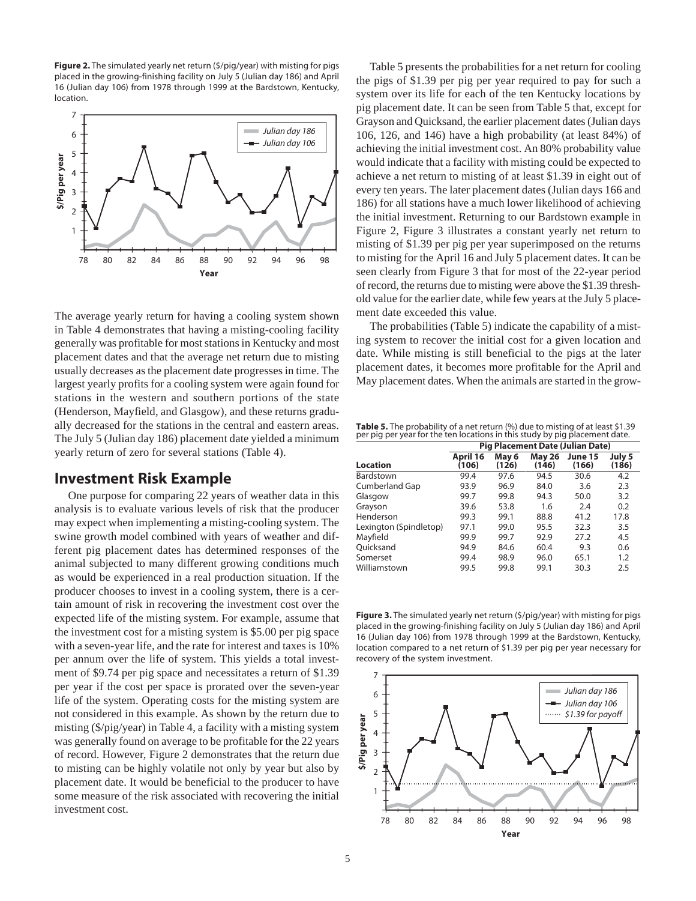**Figure 2.** The simulated yearly net return (\$/pig/year) with misting for pigs placed in the growing-finishing facility on July 5 (Julian day 186) and April 16 (Julian day 106) from 1978 through 1999 at the Bardstown, Kentucky, location.



The average yearly return for having a cooling system shown in Table 4 demonstrates that having a misting-cooling facility generally was profitable for most stations in Kentucky and most placement dates and that the average net return due to misting usually decreases as the placement date progresses in time. The largest yearly profits for a cooling system were again found for stations in the western and southern portions of the state (Henderson, Mayfield, and Glasgow), and these returns gradually decreased for the stations in the central and eastern areas. The July 5 (Julian day 186) placement date yielded a minimum yearly return of zero for several stations (Table 4).

#### **Investment Risk Example**

One purpose for comparing 22 years of weather data in this analysis is to evaluate various levels of risk that the producer may expect when implementing a misting-cooling system. The swine growth model combined with years of weather and different pig placement dates has determined responses of the animal subjected to many different growing conditions much as would be experienced in a real production situation. If the producer chooses to invest in a cooling system, there is a certain amount of risk in recovering the investment cost over the expected life of the misting system. For example, assume that the investment cost for a misting system is \$5.00 per pig space with a seven-year life, and the rate for interest and taxes is 10% per annum over the life of system. This yields a total investment of \$9.74 per pig space and necessitates a return of \$1.39 per year if the cost per space is prorated over the seven-year life of the system. Operating costs for the misting system are not considered in this example. As shown by the return due to misting (\$/pig/year) in Table 4, a facility with a misting system was generally found on average to be profitable for the 22 years of record. However, Figure 2 demonstrates that the return due to misting can be highly volatile not only by year but also by placement date. It would be beneficial to the producer to have some measure of the risk associated with recovering the initial investment cost.

Table 5 presents the probabilities for a net return for cooling the pigs of \$1.39 per pig per year required to pay for such a system over its life for each of the ten Kentucky locations by pig placement date. It can be seen from Table 5 that, except for Grayson and Quicksand, the earlier placement dates (Julian days 106, 126, and 146) have a high probability (at least 84%) of achieving the initial investment cost. An 80% probability value would indicate that a facility with misting could be expected to achieve a net return to misting of at least \$1.39 in eight out of every ten years. The later placement dates (Julian days 166 and 186) for all stations have a much lower likelihood of achieving the initial investment. Returning to our Bardstown example in Figure 2, Figure 3 illustrates a constant yearly net return to misting of \$1.39 per pig per year superimposed on the returns to misting for the April 16 and July 5 placement dates. It can be seen clearly from Figure 3 that for most of the 22-year period of record, the returns due to misting were above the \$1.39 threshold value for the earlier date, while few years at the July 5 placement date exceeded this value.

The probabilities (Table 5) indicate the capability of a misting system to recover the initial cost for a given location and date. While misting is still beneficial to the pigs at the later placement dates, it becomes more profitable for the April and May placement dates. When the animals are started in the grow-

**Table 5.** The probability of a net return (%) due to misting of at least \$1.39 per pig per year for the ten locations in this study by pig placement date.

|                        | <b>Pig Placement Date (Julian Date)</b> |                |                        |                  |                 |  |  |  |
|------------------------|-----------------------------------------|----------------|------------------------|------------------|-----------------|--|--|--|
| <b>Location</b>        | April 16<br>(106                        | May 6<br>(126) | <b>May 26</b><br>(146) | June 15<br>(166) | July 5<br>(186) |  |  |  |
| Bardstown              | 99.4                                    | 97.6           | 94.5                   | 30.6             | 4.2             |  |  |  |
| <b>Cumberland Gap</b>  | 93.9                                    | 96.9           | 84.0                   | 3.6              | 2.3             |  |  |  |
| Glasgow                | 99.7                                    | 99.8           | 94.3                   | 50.0             | 3.2             |  |  |  |
| Grayson                | 39.6                                    | 53.8           | 1.6                    | 2.4              | 0.2             |  |  |  |
| Henderson              | 99.3                                    | 99.1           | 88.8                   | 41.2             | 17.8            |  |  |  |
| Lexington (Spindletop) | 97.1                                    | 99.0           | 95.5                   | 32.3             | 3.5             |  |  |  |
| Mayfield               | 99.9                                    | 99.7           | 92.9                   | 27.2             | 4.5             |  |  |  |
| Ouicksand              | 94.9                                    | 84.6           | 60.4                   | 9.3              | 0.6             |  |  |  |
| Somerset               | 99.4                                    | 98.9           | 96.0                   | 65.1             | 1.2             |  |  |  |
| Williamstown           | 99.5                                    | 99.8           | 99.1                   | 30.3             | 2.5             |  |  |  |

**Figure 3.** The simulated yearly net return (\$/pig/year) with misting for pigs placed in the growing-finishing facility on July 5 (Julian day 186) and April 16 (Julian day 106) from 1978 through 1999 at the Bardstown, Kentucky, location compared to a net return of \$1.39 per pig per year necessary for recovery of the system investment.